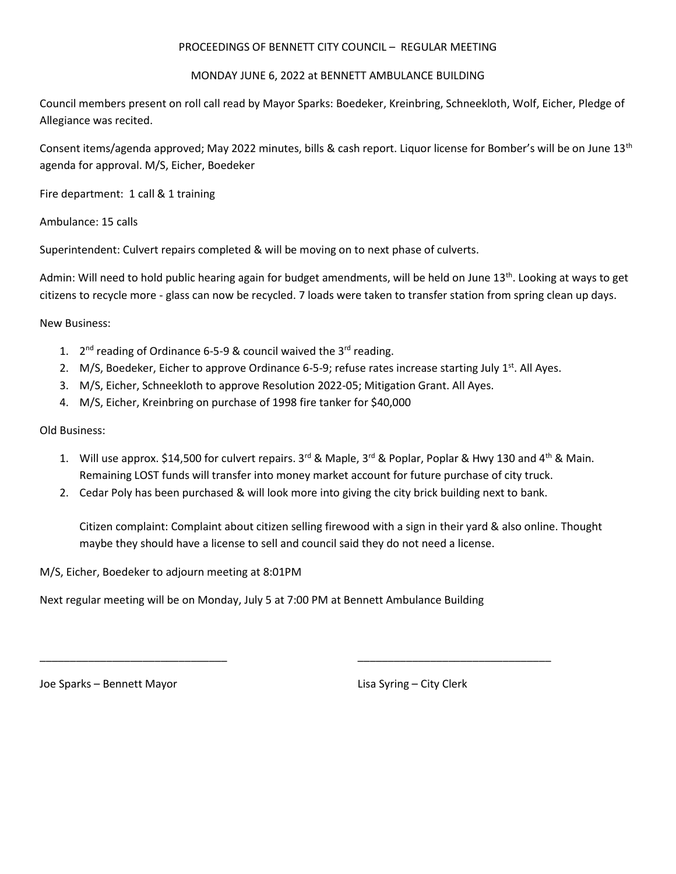## PROCEEDINGS OF BENNETT CITY COUNCIL – REGULAR MEETING

## MONDAY JUNE 6, 2022 at BENNETT AMBULANCE BUILDING

Council members present on roll call read by Mayor Sparks: Boedeker, Kreinbring, Schneekloth, Wolf, Eicher, Pledge of Allegiance was recited.

Consent items/agenda approved; May 2022 minutes, bills & cash report. Liquor license for Bomber's will be on June 13th agenda for approval. M/S, Eicher, Boedeker

Fire department: 1 call & 1 training

Ambulance: 15 calls

Superintendent: Culvert repairs completed & will be moving on to next phase of culverts.

Admin: Will need to hold public hearing again for budget amendments, will be held on June 13<sup>th</sup>. Looking at ways to get citizens to recycle more - glass can now be recycled. 7 loads were taken to transfer station from spring clean up days.

New Business:

- 1.  $2^{nd}$  reading of Ordinance 6-5-9 & council waived the 3<sup>rd</sup> reading.
- 2. M/S, Boedeker, Eicher to approve Ordinance 6-5-9; refuse rates increase starting July  $1<sup>st</sup>$ . All Ayes.
- 3. M/S, Eicher, Schneekloth to approve Resolution 2022-05; Mitigation Grant. All Ayes.
- 4. M/S, Eicher, Kreinbring on purchase of 1998 fire tanker for \$40,000

Old Business:

- 1. Will use approx. \$14,500 for culvert repairs. 3<sup>rd</sup> & Maple, 3<sup>rd</sup> & Poplar, Poplar & Hwy 130 and 4<sup>th</sup> & Main. Remaining LOST funds will transfer into money market account for future purchase of city truck.
- 2. Cedar Poly has been purchased & will look more into giving the city brick building next to bank.

\_\_\_\_\_\_\_\_\_\_\_\_\_\_\_\_\_\_\_\_\_\_\_\_\_\_\_\_\_\_\_ \_\_\_\_\_\_\_\_\_\_\_\_\_\_\_\_\_\_\_\_\_\_\_\_\_\_\_\_\_\_\_\_

Citizen complaint: Complaint about citizen selling firewood with a sign in their yard & also online. Thought maybe they should have a license to sell and council said they do not need a license.

M/S, Eicher, Boedeker to adjourn meeting at 8:01PM

Next regular meeting will be on Monday, July 5 at 7:00 PM at Bennett Ambulance Building

Joe Sparks – Bennett Mayor Lisa Syring – City Clerk